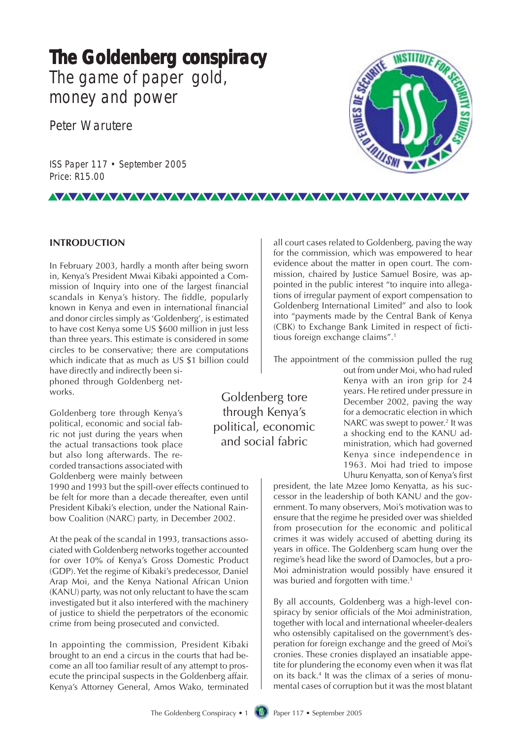# **The Goldenberg conspiracy The Goldenberg conspiracy** The game of paper gold, money and power

Peter Warutere

ISS Paper 117 • September 2005 Price: R15.00



## **INTRODUCTION**

In February 2003, hardly a month after being sworn in, Kenya's President Mwai Kibaki appointed a Commission of Inquiry into one of the largest financial scandals in Kenya's history. The fiddle, popularly known in Kenya and even in international financial and donor circles simply as 'Goldenberg', is estimated to have cost Kenya some US \$600 million in just less than three years. This estimate is considered in some circles to be conservative; there are computations which indicate that as much as US \$1 billion could have directly and indirectly been siphoned through Goldenberg networks.

Goldenberg tore through Kenya's political, economic and social fabric not just during the years when the actual transactions took place but also long afterwards. The recorded transactions associated with Goldenberg were mainly between

1990 and 1993 but the spill-over effects continued to be felt for more than a decade thereafter, even until President Kibaki's election, under the National Rainbow Coalition (NARC) party, in December 2002.

At the peak of the scandal in 1993, transactions associated with Goldenberg networks together accounted for over 10% of Kenya's Gross Domestic Product (GDP). Yet the regime of Kibaki's predecessor, Daniel Arap Moi, and the Kenya National African Union (KANU) party, was not only reluctant to have the scam investigated but it also interfered with the machinery of justice to shield the perpetrators of the economic crime from being prosecuted and convicted.

In appointing the commission, President Kibaki brought to an end a circus in the courts that had become an all too familiar result of any attempt to prosecute the principal suspects in the Goldenberg affair. Kenya's Attorney General, Amos Wako, terminated

all court cases related to Goldenberg, paving the way for the commission, which was empowered to hear evidence about the matter in open court. The commission, chaired by Justice Samuel Bosire, was appointed in the public interest "to inquire into allegations of irregular payment of export compensation to Goldenberg International Limited" and also to look into "payments made by the Central Bank of Kenya (CBK) to Exchange Bank Limited in respect of fictitious foreign exchange claims".1

The appointment of the commission pulled the rug

Goldenberg tore through Kenya's political, economic and social fabric

<u>VAAAAAAAAAAAAAAAAAAAAAAAAAAAAAAA</u>

out from under Moi, who had ruled Kenya with an iron grip for 24 years. He retired under pressure in December 2002, paving the way for a democratic election in which NARC was swept to power.<sup>2</sup> It was a shocking end to the KANU administration, which had governed Kenya since independence in 1963. Moi had tried to impose Uhuru Kenyatta, son of Kenya's first

president, the late Mzee Jomo Kenyatta, as his successor in the leadership of both KANU and the government. To many observers, Moi's motivation was to ensure that the regime he presided over was shielded from prosecution for the economic and political crimes it was widely accused of abetting during its years in office. The Goldenberg scam hung over the regime's head like the sword of Damocles, but a pro-Moi administration would possibly have ensured it was buried and forgotten with time.<sup>3</sup>

By all accounts, Goldenberg was a high-level conspiracy by senior officials of the Moi administration, together with local and international wheeler-dealers who ostensibly capitalised on the government's desperation for foreign exchange and the greed of Moi's cronies. These cronies displayed an insatiable appetite for plundering the economy even when it was flat on its back.4 It was the climax of a series of monumental cases of corruption but it was the most blatant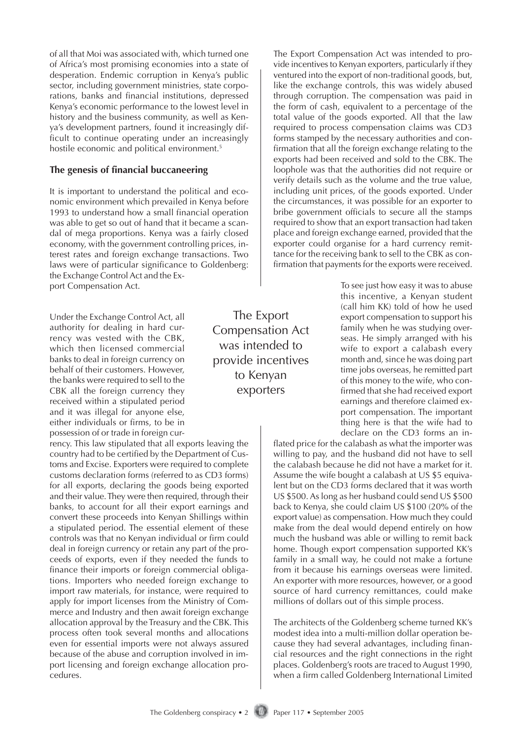of all that Moi was associated with, which turned one of Africa's most promising economies into a state of desperation. Endemic corruption in Kenya's public sector, including government ministries, state corporations, banks and financial institutions, depressed Kenya's economic performance to the lowest level in history and the business community, as well as Kenya's development partners, found it increasingly difficult to continue operating under an increasingly hostile economic and political environment.<sup>5</sup>

#### **The genesis of financial buccaneering**

It is important to understand the political and economic environment which prevailed in Kenya before 1993 to understand how a small financial operation was able to get so out of hand that it became a scandal of mega proportions. Kenya was a fairly closed economy, with the government controlling prices, interest rates and foreign exchange transactions. Two laws were of particular significance to Goldenberg: the Exchange Control Act and the Export Compensation Act.

Under the Exchange Control Act, all authority for dealing in hard currency was vested with the CBK, which then licensed commercial banks to deal in foreign currency on behalf of their customers. However, the banks were required to sell to the CBK all the foreign currency they received within a stipulated period and it was illegal for anyone else, either individuals or firms, to be in possession of or trade in foreign cur-

rency. This law stipulated that all exports leaving the country had to be certified by the Department of Customs and Excise. Exporters were required to complete customs declaration forms (referred to as CD3 forms) for all exports, declaring the goods being exported and their value. They were then required, through their banks, to account for all their export earnings and convert these proceeds into Kenyan Shillings within a stipulated period. The essential element of these controls was that no Kenyan individual or firm could deal in foreign currency or retain any part of the proceeds of exports, even if they needed the funds to finance their imports or foreign commercial obligations. Importers who needed foreign exchange to import raw materials, for instance, were required to apply for import licenses from the Ministry of Commerce and Industry and then await foreign exchange allocation approval by the Treasury and the CBK. This process often took several months and allocations even for essential imports were not always assured because of the abuse and corruption involved in import licensing and foreign exchange allocation procedures.

The Export Compensation Act was intended to provide incentives to Kenyan exporters

The Export Compensation Act was intended to provide incentives to Kenyan exporters, particularly if they ventured into the export of non-traditional goods, but, like the exchange controls, this was widely abused through corruption. The compensation was paid in the form of cash, equivalent to a percentage of the total value of the goods exported. All that the law required to process compensation claims was CD3 forms stamped by the necessary authorities and confirmation that all the foreign exchange relating to the exports had been received and sold to the CBK. The loophole was that the authorities did not require or verify details such as the volume and the true value, including unit prices, of the goods exported. Under the circumstances, it was possible for an exporter to bribe government officials to secure all the stamps required to show that an export transaction had taken place and foreign exchange earned, provided that the exporter could organise for a hard currency remittance for the receiving bank to sell to the CBK as confirmation that payments for the exports were received.

> To see just how easy it was to abuse this incentive, a Kenyan student (call him KK) told of how he used export compensation to support his family when he was studying overseas. He simply arranged with his wife to export a calabash every month and, since he was doing part time jobs overseas, he remitted part of this money to the wife, who confirmed that she had received export earnings and therefore claimed export compensation. The important thing here is that the wife had to declare on the CD3 forms an in-

flated price for the calabash as what the importer was willing to pay, and the husband did not have to sell the calabash because he did not have a market for it. Assume the wife bought a calabash at US \$5 equivalent but on the CD3 forms declared that it was worth US \$500. As long as her husband could send US \$500 back to Kenya, she could claim US \$100 (20% of the export value) as compensation. How much they could make from the deal would depend entirely on how much the husband was able or willing to remit back home. Though export compensation supported KK's family in a small way, he could not make a fortune from it because his earnings overseas were limited. An exporter with more resources, however, or a good source of hard currency remittances, could make millions of dollars out of this simple process.

The architects of the Goldenberg scheme turned KK's modest idea into a multi-million dollar operation because they had several advantages, including financial resources and the right connections in the right places. Goldenberg's roots are traced to August 1990, when a firm called Goldenberg International Limited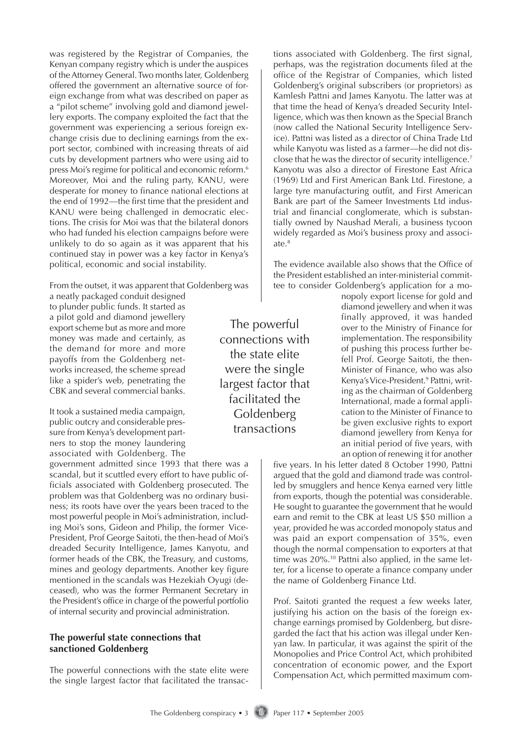was registered by the Registrar of Companies, the Kenyan company registry which is under the auspices of the Attorney General. Two months later, Goldenberg offered the government an alternative source of foreign exchange from what was described on paper as a "pilot scheme" involving gold and diamond jewellery exports. The company exploited the fact that the government was experiencing a serious foreign exchange crisis due to declining earnings from the export sector, combined with increasing threats of aid cuts by development partners who were using aid to press Moi's regime for political and economic reform.6 Moreover, Moi and the ruling party, KANU, were desperate for money to finance national elections at the end of 1992—the first time that the president and KANU were being challenged in democratic elections. The crisis for Moi was that the bilateral donors who had funded his election campaigns before were unlikely to do so again as it was apparent that his continued stay in power was a key factor in Kenya's political, economic and social instability.

From the outset, it was apparent that Goldenberg was

a neatly packaged conduit designed to plunder public funds. It started as a pilot gold and diamond jewellery export scheme but as more and more money was made and certainly, as the demand for more and more payoffs from the Goldenberg networks increased, the scheme spread like a spider's web, penetrating the CBK and several commercial banks.

It took a sustained media campaign, public outcry and considerable pressure from Kenya's development partners to stop the money laundering associated with Goldenberg. The

government admitted since 1993 that there was a scandal, but it scuttled every effort to have public officials associated with Goldenberg prosecuted. The problem was that Goldenberg was no ordinary business; its roots have over the years been traced to the most powerful people in Moi's administration, including Moi's sons, Gideon and Philip, the former Vice-President, Prof George Saitoti, the then-head of Moi's dreaded Security Intelligence, James Kanyotu, and former heads of the CBK, the Treasury, and customs, mines and geology departments. Another key figure mentioned in the scandals was Hezekiah Oyugi (deceased), who was the former Permanent Secretary in the President's office in charge of the powerful portfolio of internal security and provincial administration.

### **The powerful state connections that sanctioned Goldenberg**

The powerful connections with the state elite were the single largest factor that facilitated the transactions associated with Goldenberg. The first signal, perhaps, was the registration documents filed at the office of the Registrar of Companies, which listed Goldenberg's original subscribers (or proprietors) as Kamlesh Pattni and James Kanyotu. The latter was at that time the head of Kenya's dreaded Security Intelligence, which was then known as the Special Branch (now called the National Security Intelligence Service). Pattni was listed as a director of China Trade Ltd while Kanyotu was listed as a farmer—he did not disclose that he was the director of security intelligence.7 Kanyotu was also a director of Firestone East Africa (1969) Ltd and First American Bank Ltd. Firestone, a large tyre manufacturing outfit, and First American Bank are part of the Sameer Investments Ltd industrial and financial conglomerate, which is substantially owned by Naushad Merali, a business tycoon widely regarded as Moi's business proxy and associate.<sup>8</sup>

The evidence available also shows that the Office of the President established an inter-ministerial committee to consider Goldenberg's application for a mo-

> nopoly export license for gold and diamond jewellery and when it was finally approved, it was handed over to the Ministry of Finance for implementation. The responsibility of pushing this process further befell Prof. George Saitoti, the then-Minister of Finance, who was also Kenya's Vice-President.<sup>9</sup> Pattni, writing as the chairman of Goldenberg International, made a formal application to the Minister of Finance to be given exclusive rights to export diamond jewellery from Kenya for an initial period of five years, with an option of renewing it for another

five years. In his letter dated 8 October 1990, Pattni argued that the gold and diamond trade was controlled by smugglers and hence Kenya earned very little from exports, though the potential was considerable. He sought to guarantee the government that he would earn and remit to the CBK at least US \$50 million a year, provided he was accorded monopoly status and was paid an export compensation of 35%, even though the normal compensation to exporters at that time was 20%.<sup>10</sup> Pattni also applied, in the same letter, for a license to operate a finance company under the name of Goldenberg Finance Ltd.

Prof. Saitoti granted the request a few weeks later, justifying his action on the basis of the foreign exchange earnings promised by Goldenberg, but disregarded the fact that his action was illegal under Kenyan law. In particular, it was against the spirit of the Monopolies and Price Control Act, which prohibited concentration of economic power, and the Export Compensation Act, which permitted maximum com-

The powerful connections with the state elite were the single largest factor that facilitated the **Goldenberg** transactions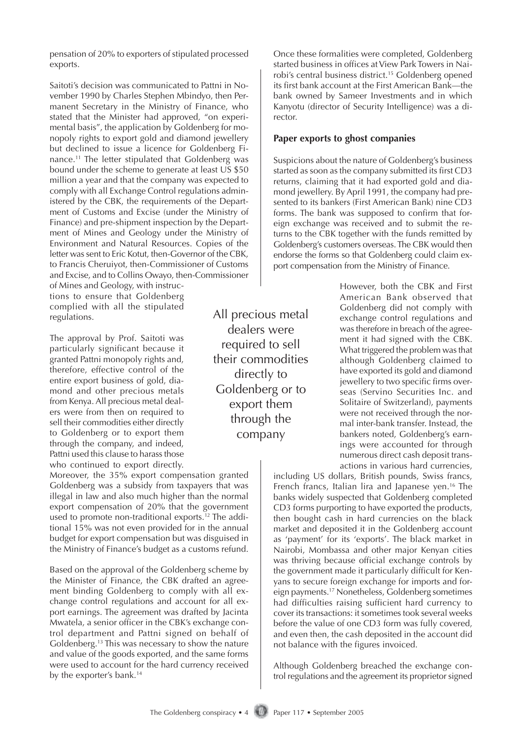pensation of 20% to exporters of stipulated processed exports.

Saitoti's decision was communicated to Pattni in November 1990 by Charles Stephen Mbindyo, then Permanent Secretary in the Ministry of Finance, who stated that the Minister had approved, "on experimental basis", the application by Goldenberg for monopoly rights to export gold and diamond jewellery but declined to issue a licence for Goldenberg Finance.11 The letter stipulated that Goldenberg was bound under the scheme to generate at least US \$50 million a year and that the company was expected to comply with all Exchange Control regulations administered by the CBK, the requirements of the Department of Customs and Excise (under the Ministry of Finance) and pre-shipment inspection by the Department of Mines and Geology under the Ministry of Environment and Natural Resources. Copies of the letter was sent to Eric Kotut, then-Governor of the CBK, to Francis Cheruiyot, then-Commissioner of Customs and Excise, and to Collins Owayo, then-Commissioner

of Mines and Geology, with instructions to ensure that Goldenberg complied with all the stipulated regulations.

The approval by Prof. Saitoti was particularly significant because it granted Pattni monopoly rights and, therefore, effective control of the entire export business of gold, diamond and other precious metals from Kenya. All precious metal dealers were from then on required to sell their commodities either directly to Goldenberg or to export them through the company, and indeed, Pattni used this clause to harass those who continued to export directly.

Moreover, the 35% export compensation granted Goldenberg was a subsidy from taxpayers that was illegal in law and also much higher than the normal export compensation of 20% that the government used to promote non-traditional exports.<sup>12</sup> The additional 15% was not even provided for in the annual budget for export compensation but was disguised in the Ministry of Finance's budget as a customs refund.

Based on the approval of the Goldenberg scheme by the Minister of Finance, the CBK drafted an agreement binding Goldenberg to comply with all exchange control regulations and account for all export earnings. The agreement was drafted by Jacinta Mwatela, a senior officer in the CBK's exchange control department and Pattni signed on behalf of Goldenberg.13 This was necessary to show the nature and value of the goods exported, and the same forms were used to account for the hard currency received by the exporter's bank.<sup>14</sup>

All precious metal dealers were required to sell their commodities directly to Goldenberg or to export them through the company

Once these formalities were completed, Goldenberg started business in offices at View Park Towers in Nairobi's central business district.15 Goldenberg opened its first bank account at the First American Bank—the bank owned by Sameer Investments and in which Kanyotu (director of Security Intelligence) was a director.

#### **Paper exports to ghost companies**

Suspicions about the nature of Goldenberg's business started as soon as the company submitted its first CD3 returns, claiming that it had exported gold and diamond jewellery. By April 1991, the company had presented to its bankers (First American Bank) nine CD3 forms. The bank was supposed to confirm that foreign exchange was received and to submit the returns to the CBK together with the funds remitted by Goldenberg's customers overseas. The CBK would then endorse the forms so that Goldenberg could claim export compensation from the Ministry of Finance.

> However, both the CBK and First American Bank observed that Goldenberg did not comply with exchange control regulations and was therefore in breach of the agreement it had signed with the CBK. What triggered the problem was that although Goldenberg claimed to have exported its gold and diamond jewellery to two specific firms overseas (Servino Securities Inc. and Solitaire of Switzerland), payments were not received through the normal inter-bank transfer. Instead, the bankers noted, Goldenberg's earnings were accounted for through numerous direct cash deposit transactions in various hard currencies,

including US dollars, British pounds, Swiss francs, French francs, Italian lira and Japanese yen.16 The banks widely suspected that Goldenberg completed CD3 forms purporting to have exported the products, then bought cash in hard currencies on the black market and deposited it in the Goldenberg account as 'payment' for its 'exports'. The black market in Nairobi, Mombassa and other major Kenyan cities was thriving because official exchange controls by the government made it particularly difficult for Kenyans to secure foreign exchange for imports and foreign payments.17 Nonetheless, Goldenberg sometimes had difficulties raising sufficient hard currency to cover its transactions: it sometimes took several weeks before the value of one CD3 form was fully covered, and even then, the cash deposited in the account did not balance with the figures invoiced.

Although Goldenberg breached the exchange control regulations and the agreement its proprietor signed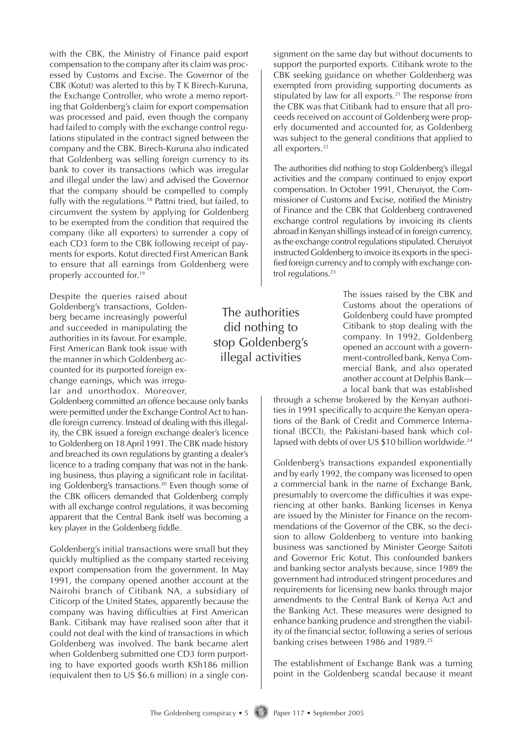with the CBK, the Ministry of Finance paid export compensation to the company after its claim was processed by Customs and Excise. The Governor of the CBK (Kotut) was alerted to this by T K Birech-Kuruna, the Exchange Controller, who wrote a memo reporting that Goldenberg's claim for export compensation was processed and paid, even though the company had failed to comply with the exchange control regulations stipulated in the contract signed between the company and the CBK. Birech-Kuruna also indicated that Goldenberg was selling foreign currency to its bank to cover its transactions (which was irregular and illegal under the law) and advised the Governor that the company should be compelled to comply fully with the regulations.<sup>18</sup> Pattni tried, but failed, to circumvent the system by applying for Goldenberg to be exempted from the condition that required the company (like all exporters) to surrender a copy of each CD3 form to the CBK following receipt of payments for exports. Kotut directed First American Bank to ensure that all earnings from Goldenberg were properly accounted for.<sup>19</sup>

Despite the queries raised about Goldenberg's transactions, Goldenberg became increasingly powerful and succeeded in manipulating the authorities in its favour. For example, First American Bank took issue with the manner in which Goldenberg accounted for its purported foreign exchange earnings, which was irregular and unorthodox. Moreover,

Goldenberg committed an offence because only banks were permitted under the Exchange Control Act to handle foreign currency. Instead of dealing with this illegality, the CBK issued a foreign exchange dealer's licence to Goldenberg on 18 April 1991. The CBK made history and breached its own regulations by granting a dealer's licence to a trading company that was not in the banking business, thus playing a significant role in facilitating Goldenberg's transactions.<sup>20</sup> Even though some of the CBK officers demanded that Goldenberg comply with all exchange control regulations, it was becoming apparent that the Central Bank itself was becoming a key player in the Goldenberg fiddle.

Goldenberg's initial transactions were small but they quickly multiplied as the company started receiving export compensation from the government. In May 1991, the company opened another account at the Nairobi branch of Citibank NA, a subsidiary of Citicorp of the United States, apparently because the company was having difficulties at First American Bank. Citibank may have realised soon after that it could not deal with the kind of transactions in which Goldenberg was involved. The bank became alert when Goldenberg submitted one CD3 form purporting to have exported goods worth KSh186 million (equivalent then to US \$6.6 million) in a single consignment on the same day but without documents to support the purported exports. Citibank wrote to the CBK seeking guidance on whether Goldenberg was exempted from providing supporting documents as stipulated by law for all exports.<sup>21</sup> The response from the CBK was that Citibank had to ensure that all proceeds received on account of Goldenberg were properly documented and accounted for, as Goldenberg was subject to the general conditions that applied to all exporters.<sup>22</sup>

The authorities did nothing to stop Goldenberg's illegal activities and the company continued to enjoy export compensation. In October 1991, Cheruiyot, the Commissioner of Customs and Excise, notified the Ministry of Finance and the CBK that Goldenberg contravened exchange control regulations by invoicing its clients abroad in Kenyan shillings instead of in foreign currency, as the exchange control regulations stipulated. Cheruiyot instructed Goldenberg to invoice its exports in the specified foreign currency and to comply with exchange control regulations.<sup>23</sup>

The authorities did nothing to stop Goldenberg's illegal activities

The issues raised by the CBK and Customs about the operations of Goldenberg could have prompted Citibank to stop dealing with the company. In 1992, Goldenberg opened an account with a government-controlled bank, Kenya Commercial Bank, and also operated another account at Delphis Bank a local bank that was established

through a scheme brokered by the Kenyan authorities in 1991 specifically to acquire the Kenyan operations of the Bank of Credit and Commerce International (BCCI), the Pakistani-based bank which collapsed with debts of over US \$10 billion worldwide.<sup>24</sup>

Goldenberg's transactions expanded exponentially and by early 1992, the company was licensed to open a commercial bank in the name of Exchange Bank, presumably to overcome the difficulties it was experiencing at other banks. Banking licenses in Kenya are issued by the Minister for Finance on the recommendations of the Governor of the CBK, so the decision to allow Goldenberg to venture into banking business was sanctioned by Minister George Saitoti and Governor Eric Kotut. This confounded bankers and banking sector analysts because, since 1989 the government had introduced stringent procedures and requirements for licensing new banks through major amendments to the Central Bank of Kenya Act and the Banking Act. These measures were designed to enhance banking prudence and strengthen the viability of the financial sector, following a series of serious banking crises between 1986 and 1989.<sup>25</sup>

The establishment of Exchange Bank was a turning point in the Goldenberg scandal because it meant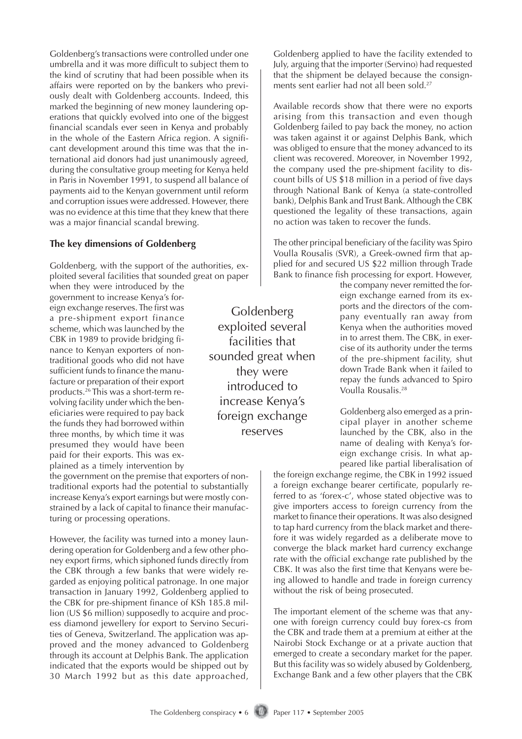Goldenberg's transactions were controlled under one umbrella and it was more difficult to subject them to the kind of scrutiny that had been possible when its affairs were reported on by the bankers who previously dealt with Goldenberg accounts. Indeed, this marked the beginning of new money laundering operations that quickly evolved into one of the biggest financial scandals ever seen in Kenya and probably in the whole of the Eastern Africa region. A significant development around this time was that the international aid donors had just unanimously agreed, during the consultative group meeting for Kenya held in Paris in November 1991, to suspend all balance of payments aid to the Kenyan government until reform and corruption issues were addressed. However, there was no evidence at this time that they knew that there was a major financial scandal brewing.

#### **The key dimensions of Goldenberg**

Goldenberg, with the support of the authorities, exploited several facilities that sounded great on paper when they were introduced by the

government to increase Kenya's foreign exchange reserves. The first was a pre-shipment export finance scheme, which was launched by the CBK in 1989 to provide bridging finance to Kenyan exporters of nontraditional goods who did not have sufficient funds to finance the manufacture or preparation of their export products.26 This was a short-term revolving facility under which the beneficiaries were required to pay back the funds they had borrowed within three months, by which time it was presumed they would have been paid for their exports. This was explained as a timely intervention by

the government on the premise that exporters of nontraditional exports had the potential to substantially increase Kenya's export earnings but were mostly constrained by a lack of capital to finance their manufacturing or processing operations.

However, the facility was turned into a money laundering operation for Goldenberg and a few other phoney export firms, which siphoned funds directly from the CBK through a few banks that were widely regarded as enjoying political patronage. In one major transaction in January 1992, Goldenberg applied to the CBK for pre-shipment finance of KSh 185.8 million (US \$6 million) supposedly to acquire and process diamond jewellery for export to Servino Securities of Geneva, Switzerland. The application was approved and the money advanced to Goldenberg through its account at Delphis Bank. The application indicated that the exports would be shipped out by 30 March 1992 but as this date approached,

Goldenberg exploited several facilities that sounded great when they were introduced to increase Kenya's foreign exchange reserves

Goldenberg applied to have the facility extended to July, arguing that the importer (Servino) had requested that the shipment be delayed because the consignments sent earlier had not all been sold.<sup>27</sup>

Available records show that there were no exports arising from this transaction and even though Goldenberg failed to pay back the money, no action was taken against it or against Delphis Bank, which was obliged to ensure that the money advanced to its client was recovered. Moreover, in November 1992, the company used the pre-shipment facility to discount bills of US \$18 million in a period of five days through National Bank of Kenya (a state-controlled bank), Delphis Bank and Trust Bank. Although the CBK questioned the legality of these transactions, again no action was taken to recover the funds.

The other principal beneficiary of the facility was Spiro Voulla Rousalis (SVR), a Greek-owned firm that applied for and secured US \$22 million through Trade Bank to finance fish processing for export. However,

> the company never remitted the foreign exchange earned from its exports and the directors of the company eventually ran away from Kenya when the authorities moved in to arrest them. The CBK, in exercise of its authority under the terms of the pre-shipment facility, shut down Trade Bank when it failed to repay the funds advanced to Spiro Voulla Rousalis.28

> Goldenberg also emerged as a principal player in another scheme launched by the CBK, also in the name of dealing with Kenya's foreign exchange crisis. In what appeared like partial liberalisation of

the foreign exchange regime, the CBK in 1992 issued a foreign exchange bearer certificate, popularly referred to as 'forex-c', whose stated objective was to give importers access to foreign currency from the market to finance their operations. It was also designed to tap hard currency from the black market and therefore it was widely regarded as a deliberate move to converge the black market hard currency exchange rate with the official exchange rate published by the CBK. It was also the first time that Kenyans were being allowed to handle and trade in foreign currency without the risk of being prosecuted.

The important element of the scheme was that anyone with foreign currency could buy forex-cs from the CBK and trade them at a premium at either at the Nairobi Stock Exchange or at a private auction that emerged to create a secondary market for the paper. But this facility was so widely abused by Goldenberg, Exchange Bank and a few other players that the CBK

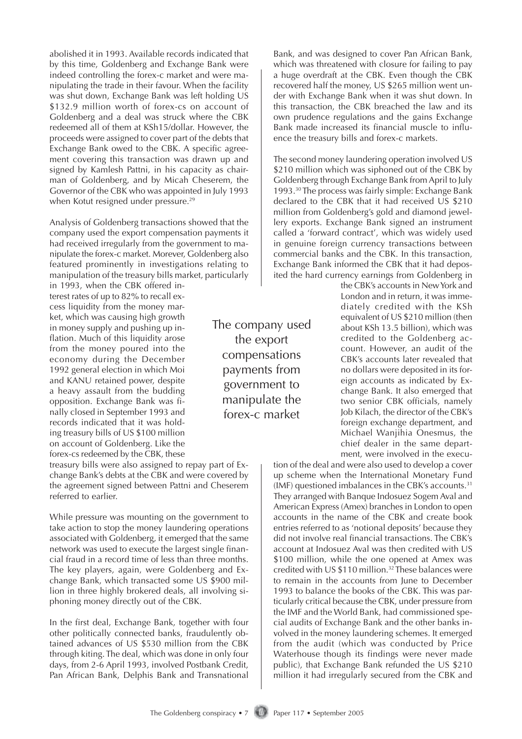abolished it in 1993. Available records indicated that by this time, Goldenberg and Exchange Bank were indeed controlling the forex-c market and were manipulating the trade in their favour. When the facility was shut down, Exchange Bank was left holding US \$132.9 million worth of forex-cs on account of Goldenberg and a deal was struck where the CBK redeemed all of them at KSh15/dollar. However, the proceeds were assigned to cover part of the debts that Exchange Bank owed to the CBK. A specific agreement covering this transaction was drawn up and signed by Kamlesh Pattni, in his capacity as chairman of Goldenberg, and by Micah Cheserem, the Governor of the CBK who was appointed in July 1993 when Kotut resigned under pressure.<sup>29</sup>

Analysis of Goldenberg transactions showed that the company used the export compensation payments it had received irregularly from the government to manipulate the forex-c market. Morever, Goldenberg also featured prominently in investigations relating to manipulation of the treasury bills market, particularly

in 1993, when the CBK offered interest rates of up to 82% to recall excess liquidity from the money market, which was causing high growth in money supply and pushing up inflation. Much of this liquidity arose from the money poured into the economy during the December 1992 general election in which Moi and KANU retained power, despite a heavy assault from the budding opposition. Exchange Bank was finally closed in September 1993 and records indicated that it was holding treasury bills of US \$100 million on account of Goldenberg. Like the forex-cs redeemed by the CBK, these

treasury bills were also assigned to repay part of Exchange Bank's debts at the CBK and were covered by the agreement signed between Pattni and Cheserem referred to earlier.

While pressure was mounting on the government to take action to stop the money laundering operations associated with Goldenberg, it emerged that the same network was used to execute the largest single financial fraud in a record time of less than three months. The key players, again, were Goldenberg and Exchange Bank, which transacted some US \$900 million in three highly brokered deals, all involving siphoning money directly out of the CBK.

In the first deal, Exchange Bank, together with four other politically connected banks, fraudulently obtained advances of US \$530 million from the CBK through kiting. The deal, which was done in only four days, from 2-6 April 1993, involved Postbank Credit, Pan African Bank, Delphis Bank and Transnational

The company used the export compensations payments from government to manipulate the forex-c market

Bank, and was designed to cover Pan African Bank, which was threatened with closure for failing to pay a huge overdraft at the CBK. Even though the CBK recovered half the money, US \$265 million went under with Exchange Bank when it was shut down. In this transaction, the CBK breached the law and its own prudence regulations and the gains Exchange Bank made increased its financial muscle to influence the treasury bills and forex-c markets.

The second money laundering operation involved US \$210 million which was siphoned out of the CBK by Goldenberg through Exchange Bank from April to July 1993.30 The process was fairly simple: Exchange Bank declared to the CBK that it had received US \$210 million from Goldenberg's gold and diamond jewellery exports. Exchange Bank signed an instrument called a 'forward contract', which was widely used in genuine foreign currency transactions between commercial banks and the CBK. In this transaction, Exchange Bank informed the CBK that it had deposited the hard currency earnings from Goldenberg in

> the CBK's accounts in New York and London and in return, it was immediately credited with the KSh equivalent of US \$210 million (then about KSh 13.5 billion), which was credited to the Goldenberg account. However, an audit of the CBK's accounts later revealed that no dollars were deposited in its foreign accounts as indicated by Exchange Bank. It also emerged that two senior CBK officials, namely Job Kilach, the director of the CBK's foreign exchange department, and Michael Wanjihia Onesmus, the chief dealer in the same department, were involved in the execu-

tion of the deal and were also used to develop a cover up scheme when the International Monetary Fund (IMF) questioned imbalances in the CBK's accounts.31 They arranged with Banque Indosuez Sogem Aval and American Express (Amex) branches in London to open accounts in the name of the CBK and create book entries referred to as 'notional deposits' because they did not involve real financial transactions. The CBK's account at Indosuez Aval was then credited with US \$100 million, while the one opened at Amex was credited with US \$110 million.<sup>32</sup> These balances were to remain in the accounts from June to December 1993 to balance the books of the CBK. This was particularly critical because the CBK, under pressure from the IMF and the World Bank, had commissioned special audits of Exchange Bank and the other banks involved in the money laundering schemes. It emerged from the audit (which was conducted by Price Waterhouse though its findings were never made public), that Exchange Bank refunded the US \$210 million it had irregularly secured from the CBK and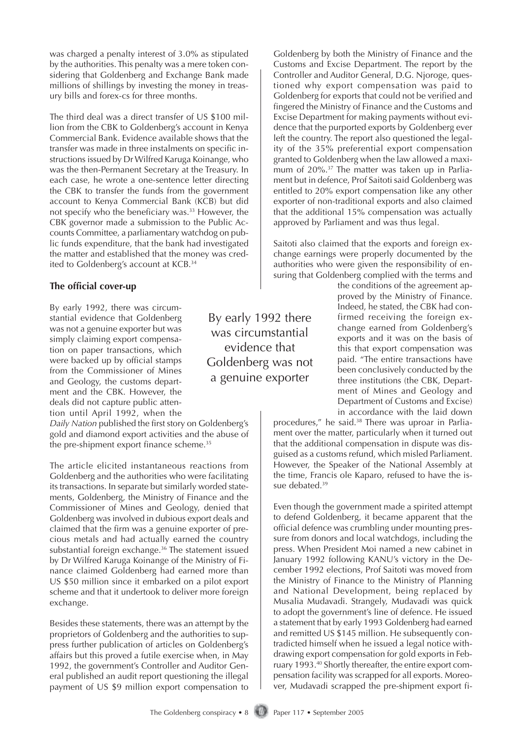was charged a penalty interest of 3.0% as stipulated by the authorities. This penalty was a mere token considering that Goldenberg and Exchange Bank made millions of shillings by investing the money in treasury bills and forex-cs for three months.

The third deal was a direct transfer of US \$100 million from the CBK to Goldenberg's account in Kenya Commercial Bank. Evidence available shows that the transfer was made in three instalments on specific instructions issued by Dr Wilfred Karuga Koinange, who was the then-Permanent Secretary at the Treasury. In each case, he wrote a one-sentence letter directing the CBK to transfer the funds from the government account to Kenya Commercial Bank (KCB) but did not specify who the beneficiary was.<sup>33</sup> However, the CBK governor made a submission to the Public Accounts Committee, a parliamentary watchdog on public funds expenditure, that the bank had investigated the matter and established that the money was credited to Goldenberg's account at KCB.<sup>34</sup>

### **The official cover-up**

By early 1992, there was circumstantial evidence that Goldenberg was not a genuine exporter but was simply claiming export compensation on paper transactions, which were backed up by official stamps from the Commissioner of Mines and Geology, the customs department and the CBK. However, the deals did not capture public attention until April 1992, when the

*Daily Nation* published the first story on Goldenberg's gold and diamond export activities and the abuse of the pre-shipment export finance scheme.<sup>35</sup>

The article elicited instantaneous reactions from Goldenberg and the authorities who were facilitating its transactions. In separate but similarly worded statements, Goldenberg, the Ministry of Finance and the Commissioner of Mines and Geology, denied that Goldenberg was involved in dubious export deals and claimed that the firm was a genuine exporter of precious metals and had actually earned the country substantial foreign exchange.36 The statement issued by Dr Wilfred Karuga Koinange of the Ministry of Finance claimed Goldenberg had earned more than US \$50 million since it embarked on a pilot export scheme and that it undertook to deliver more foreign exchange.

Besides these statements, there was an attempt by the proprietors of Goldenberg and the authorities to suppress further publication of articles on Goldenberg's affairs but this proved a futile exercise when, in May 1992, the government's Controller and Auditor General published an audit report questioning the illegal payment of US \$9 million export compensation to

By early 1992 there was circumstantial evidence that Goldenberg was not a genuine exporter

Goldenberg by both the Ministry of Finance and the Customs and Excise Department. The report by the Controller and Auditor General, D.G. Njoroge, questioned why export compensation was paid to Goldenberg for exports that could not be verified and fingered the Ministry of Finance and the Customs and Excise Department for making payments without evidence that the purported exports by Goldenberg ever left the country. The report also questioned the legality of the 35% preferential export compensation granted to Goldenberg when the law allowed a maximum of 20%.37 The matter was taken up in Parliament but in defence, Prof Saitoti said Goldenberg was entitled to 20% export compensation like any other exporter of non-traditional exports and also claimed that the additional 15% compensation was actually approved by Parliament and was thus legal.

Saitoti also claimed that the exports and foreign exchange earnings were properly documented by the authorities who were given the responsibility of ensuring that Goldenberg complied with the terms and

> the conditions of the agreement approved by the Ministry of Finance. Indeed, he stated, the CBK had confirmed receiving the foreign exchange earned from Goldenberg's exports and it was on the basis of this that export compensation was paid. "The entire transactions have been conclusively conducted by the three institutions (the CBK, Department of Mines and Geology and Department of Customs and Excise) in accordance with the laid down

procedures," he said.<sup>38</sup> There was uproar in Parliament over the matter, particularly when it turned out that the additional compensation in dispute was disguised as a customs refund, which misled Parliament. However, the Speaker of the National Assembly at the time, Francis ole Kaparo, refused to have the issue debated.<sup>39</sup>

Even though the government made a spirited attempt to defend Goldenberg, it became apparent that the official defence was crumbling under mounting pressure from donors and local watchdogs, including the press. When President Moi named a new cabinet in January 1992 following KANU's victory in the December 1992 elections, Prof Saitoti was moved from the Ministry of Finance to the Ministry of Planning and National Development, being replaced by Musalia Mudavadi. Strangely, Mudavadi was quick to adopt the government's line of defence. He issued a statement that by early 1993 Goldenberg had earned and remitted US \$145 million. He subsequently contradicted himself when he issued a legal notice withdrawing export compensation for gold exports in February 1993.40 Shortly thereafter, the entire export compensation facility was scrapped for all exports. Moreover, Mudavadi scrapped the pre-shipment export fi-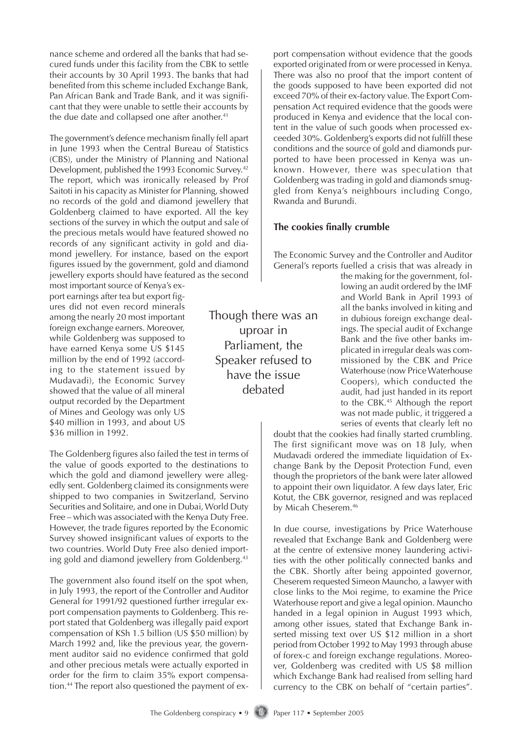nance scheme and ordered all the banks that had secured funds under this facility from the CBK to settle their accounts by 30 April 1993. The banks that had benefited from this scheme included Exchange Bank, Pan African Bank and Trade Bank, and it was significant that they were unable to settle their accounts by the due date and collapsed one after another.<sup>41</sup>

The government's defence mechanism finally fell apart in June 1993 when the Central Bureau of Statistics (CBS), under the Ministry of Planning and National Development, published the 1993 Economic Survey.<sup>42</sup> The report, which was ironically released by Prof Saitoti in his capacity as Minister for Planning, showed no records of the gold and diamond jewellery that Goldenberg claimed to have exported. All the key sections of the survey in which the output and sale of the precious metals would have featured showed no records of any significant activity in gold and diamond jewellery. For instance, based on the export figures issued by the government, gold and diamond jewellery exports should have featured as the second

most important source of Kenya's export earnings after tea but export figures did not even record minerals among the nearly 20 most important foreign exchange earners. Moreover, while Goldenberg was supposed to have earned Kenya some US \$145 million by the end of 1992 (according to the statement issued by Mudavadi), the Economic Survey showed that the value of all mineral output recorded by the Department of Mines and Geology was only US \$40 million in 1993, and about US \$36 million in 1992.

The Goldenberg figures also failed the test in terms of the value of goods exported to the destinations to which the gold and diamond jewellery were allegedly sent. Goldenberg claimed its consignments were shipped to two companies in Switzerland, Servino Securities and Solitaire, and one in Dubai, World Duty Free – which was associated with the Kenya Duty Free. However, the trade figures reported by the Economic Survey showed insignificant values of exports to the two countries. World Duty Free also denied importing gold and diamond jewellery from Goldenberg.<sup>43</sup>

The government also found itself on the spot when, in July 1993, the report of the Controller and Auditor General for 1991/92 questioned further irregular export compensation payments to Goldenberg. This report stated that Goldenberg was illegally paid export compensation of KSh 1.5 billion (US \$50 million) by March 1992 and, like the previous year, the government auditor said no evidence confirmed that gold and other precious metals were actually exported in order for the firm to claim 35% export compensation.44 The report also questioned the payment of ex-

Though there was an uproar in Parliament, the Speaker refused to have the issue debated

port compensation without evidence that the goods exported originated from or were processed in Kenya. There was also no proof that the import content of the goods supposed to have been exported did not exceed 70% of their ex-factory value. The Export Compensation Act required evidence that the goods were produced in Kenya and evidence that the local content in the value of such goods when processed exceeded 30%. Goldenberg's exports did not fulfill these conditions and the source of gold and diamonds purported to have been processed in Kenya was unknown. However, there was speculation that Goldenberg was trading in gold and diamonds smuggled from Kenya's neighbours including Congo, Rwanda and Burundi.

### **The cookies finally crumble**

The Economic Survey and the Controller and Auditor General's reports fuelled a crisis that was already in

the making for the government, following an audit ordered by the IMF and World Bank in April 1993 of all the banks involved in kiting and in dubious foreign exchange dealings. The special audit of Exchange Bank and the five other banks implicated in irregular deals was commissioned by the CBK and Price Waterhouse (now Price Waterhouse Coopers), which conducted the audit, had just handed in its report to the CBK.45 Although the report was not made public, it triggered a series of events that clearly left no

doubt that the cookies had finally started crumbling. The first significant move was on 18 July, when Mudavadi ordered the immediate liquidation of Exchange Bank by the Deposit Protection Fund, even though the proprietors of the bank were later allowed to appoint their own liquidator. A few days later, Eric Kotut, the CBK governor, resigned and was replaced by Micah Cheserem.<sup>46</sup>

In due course, investigations by Price Waterhouse revealed that Exchange Bank and Goldenberg were at the centre of extensive money laundering activities with the other politically connected banks and the CBK. Shortly after being appointed governor, Cheserem requested Simeon Mauncho, a lawyer with close links to the Moi regime, to examine the Price Waterhouse report and give a legal opinion. Mauncho handed in a legal opinion in August 1993 which, among other issues, stated that Exchange Bank inserted missing text over US \$12 million in a short period from October 1992 to May 1993 through abuse of forex-c and foreign exchange regulations. Moreover, Goldenberg was credited with US \$8 million which Exchange Bank had realised from selling hard currency to the CBK on behalf of "certain parties".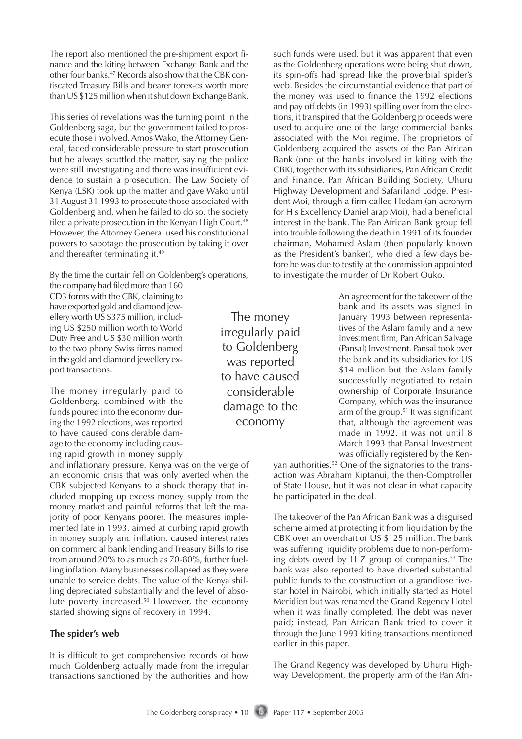The report also mentioned the pre-shipment export finance and the kiting between Exchange Bank and the other four banks.47 Records also show that the CBK confiscated Treasury Bills and bearer forex-cs worth more than US \$125 million when it shut down Exchange Bank.

This series of revelations was the turning point in the Goldenberg saga, but the government failed to prosecute those involved. Amos Wako, the Attorney General, faced considerable pressure to start prosecution but he always scuttled the matter, saying the police were still investigating and there was insufficient evidence to sustain a prosecution. The Law Society of Kenya (LSK) took up the matter and gave Wako until 31 August 31 1993 to prosecute those associated with Goldenberg and, when he failed to do so, the society filed a private prosecution in the Kenyan High Court. $48$ However, the Attorney General used his constitutional powers to sabotage the prosecution by taking it over and thereafter terminating it.<sup>49</sup>

By the time the curtain fell on Goldenberg's operations,

the company had filed more than 160 CD3 forms with the CBK, claiming to have exported gold and diamond jewellery worth US \$375 million, including US \$250 million worth to World Duty Free and US \$30 million worth to the two phony Swiss firms named in the gold and diamond jewellery export transactions.

The money irregularly paid to Goldenberg, combined with the funds poured into the economy during the 1992 elections, was reported to have caused considerable damage to the economy including causing rapid growth in money supply

and inflationary pressure. Kenya was on the verge of an economic crisis that was only averted when the CBK subjected Kenyans to a shock therapy that included mopping up excess money supply from the money market and painful reforms that left the majority of poor Kenyans poorer. The measures implemented late in 1993, aimed at curbing rapid growth in money supply and inflation, caused interest rates on commercial bank lending and Treasury Bills to rise from around 20% to as much as 70-80%, further fuelling inflation. Many businesses collapsed as they were unable to service debts. The value of the Kenya shilling depreciated substantially and the level of absolute poverty increased.<sup>50</sup> However, the economy started showing signs of recovery in 1994.

## **The spider's web**

It is difficult to get comprehensive records of how much Goldenberg actually made from the irregular transactions sanctioned by the authorities and how

The money irregularly paid to Goldenberg was reported to have caused considerable damage to the economy

such funds were used, but it was apparent that even as the Goldenberg operations were being shut down, its spin-offs had spread like the proverbial spider's web. Besides the circumstantial evidence that part of the money was used to finance the 1992 elections and pay off debts (in 1993) spilling over from the elections, it transpired that the Goldenberg proceeds were used to acquire one of the large commercial banks associated with the Moi regime. The proprietors of Goldenberg acquired the assets of the Pan African Bank (one of the banks involved in kiting with the CBK), together with its subsidiaries, Pan African Credit and Finance, Pan African Building Society, Uhuru Highway Development and Safariland Lodge. President Moi, through a firm called Hedam (an acronym for His Excellency Daniel arap Moi), had a beneficial interest in the bank. The Pan African Bank group fell into trouble following the death in 1991 of its founder chairman, Mohamed Aslam (then popularly known as the President's banker), who died a few days before he was due to testify at the commission appointed to investigate the murder of Dr Robert Ouko.

> An agreement for the takeover of the bank and its assets was signed in January 1993 between representatives of the Aslam family and a new investment firm, Pan African Salvage (Pansal) Investment. Pansal took over the bank and its subsidiaries for US \$14 million but the Aslam family successfully negotiated to retain ownership of Corporate Insurance Company, which was the insurance arm of the group.<sup>51</sup> It was significant that, although the agreement was made in 1992, it was not until 8 March 1993 that Pansal Investment was officially registered by the Ken-

yan authorities.<sup>52</sup> One of the signatories to the transaction was Abraham Kiptanui, the then-Comptroller of State House, but it was not clear in what capacity he participated in the deal.

The takeover of the Pan African Bank was a disguised scheme aimed at protecting it from liquidation by the CBK over an overdraft of US \$125 million. The bank was suffering liquidity problems due to non-performing debts owed by  $H$  Z group of companies.<sup>53</sup> The bank was also reported to have diverted substantial public funds to the construction of a grandiose fivestar hotel in Nairobi, which initially started as Hotel Meridien but was renamed the Grand Regency Hotel when it was finally completed. The debt was never paid; instead, Pan African Bank tried to cover it through the June 1993 kiting transactions mentioned earlier in this paper.

The Grand Regency was developed by Uhuru Highway Development, the property arm of the Pan Afri-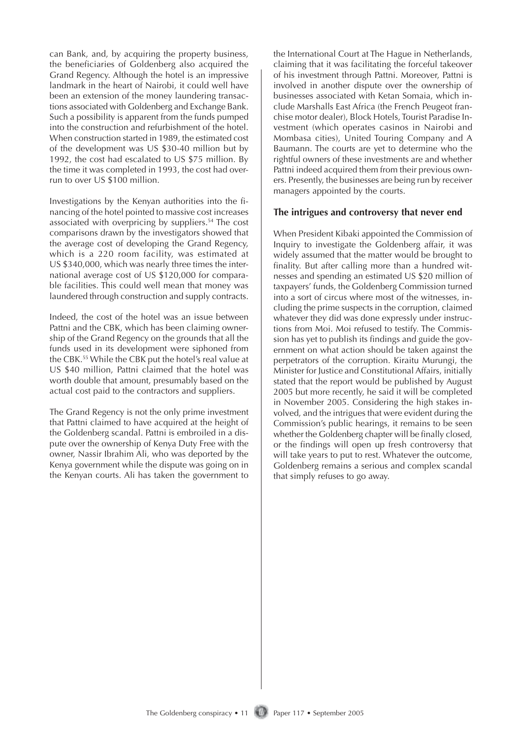can Bank, and, by acquiring the property business, the beneficiaries of Goldenberg also acquired the Grand Regency. Although the hotel is an impressive landmark in the heart of Nairobi, it could well have been an extension of the money laundering transactions associated with Goldenberg and Exchange Bank. Such a possibility is apparent from the funds pumped into the construction and refurbishment of the hotel. When construction started in 1989, the estimated cost of the development was US \$30-40 million but by 1992, the cost had escalated to US \$75 million. By the time it was completed in 1993, the cost had overrun to over US \$100 million.

Investigations by the Kenyan authorities into the financing of the hotel pointed to massive cost increases associated with overpricing by suppliers.<sup>54</sup> The cost comparisons drawn by the investigators showed that the average cost of developing the Grand Regency, which is a 220 room facility, was estimated at US \$340,000, which was nearly three times the international average cost of US \$120,000 for comparable facilities. This could well mean that money was laundered through construction and supply contracts.

Indeed, the cost of the hotel was an issue between Pattni and the CBK, which has been claiming ownership of the Grand Regency on the grounds that all the funds used in its development were siphoned from the CBK.55 While the CBK put the hotel's real value at US \$40 million, Pattni claimed that the hotel was worth double that amount, presumably based on the actual cost paid to the contractors and suppliers.

The Grand Regency is not the only prime investment that Pattni claimed to have acquired at the height of the Goldenberg scandal. Pattni is embroiled in a dispute over the ownership of Kenya Duty Free with the owner, Nassir Ibrahim Ali, who was deported by the Kenya government while the dispute was going on in the Kenyan courts. Ali has taken the government to the International Court at The Hague in Netherlands, claiming that it was facilitating the forceful takeover of his investment through Pattni. Moreover, Pattni is involved in another dispute over the ownership of businesses associated with Ketan Somaia, which include Marshalls East Africa (the French Peugeot franchise motor dealer), Block Hotels, Tourist Paradise Investment (which operates casinos in Nairobi and Mombasa cities), United Touring Company and A Baumann. The courts are yet to determine who the rightful owners of these investments are and whether Pattni indeed acquired them from their previous owners. Presently, the businesses are being run by receiver managers appointed by the courts.

#### **The intrigues and controversy that never end**

When President Kibaki appointed the Commission of Inquiry to investigate the Goldenberg affair, it was widely assumed that the matter would be brought to finality. But after calling more than a hundred witnesses and spending an estimated US \$20 million of taxpayers' funds, the Goldenberg Commission turned into a sort of circus where most of the witnesses, including the prime suspects in the corruption, claimed whatever they did was done expressly under instructions from Moi. Moi refused to testify. The Commission has yet to publish its findings and guide the government on what action should be taken against the perpetrators of the corruption. Kiraitu Murungi, the Minister for Justice and Constitutional Affairs, initially stated that the report would be published by August 2005 but more recently, he said it will be completed in November 2005. Considering the high stakes involved, and the intrigues that were evident during the Commission's public hearings, it remains to be seen whether the Goldenberg chapter will be finally closed, or the findings will open up fresh controversy that will take years to put to rest. Whatever the outcome, Goldenberg remains a serious and complex scandal that simply refuses to go away.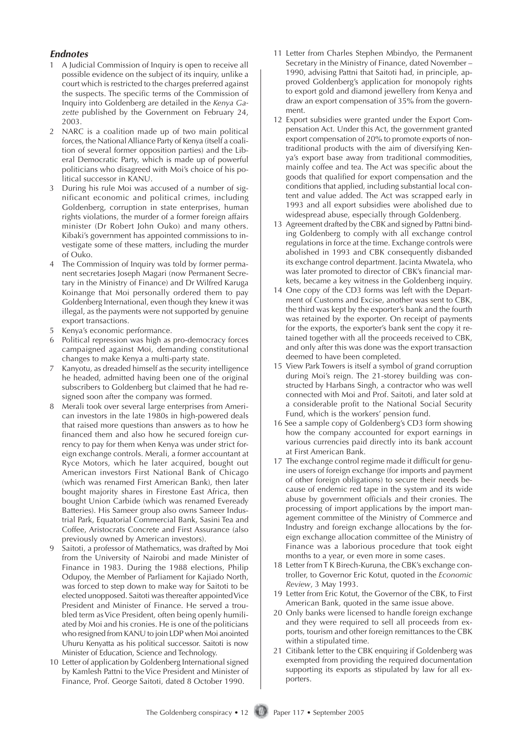#### **Endnotes**

- 1 A Judicial Commission of Inquiry is open to receive all possible evidence on the subject of its inquiry, unlike a court which is restricted to the charges preferred against the suspects. The specific terms of the Commission of Inquiry into Goldenberg are detailed in the *Kenya Gazette* published by the Government on February 24, 2003.
- 2 NARC is a coalition made up of two main political forces, the National Alliance Party of Kenya (itself a coalition of several former opposition parties) and the Liberal Democratic Party, which is made up of powerful politicians who disagreed with Moi's choice of his political successor in KANU.
- 3 During his rule Moi was accused of a number of significant economic and political crimes, including Goldenberg, corruption in state enterprises, human rights violations, the murder of a former foreign affairs minister (Dr Robert John Ouko) and many others. Kibaki's government has appointed commissions to investigate some of these matters, including the murder of Ouko.
- 4 The Commission of Inquiry was told by former permanent secretaries Joseph Magari (now Permanent Secretary in the Ministry of Finance) and Dr Wilfred Karuga Koinange that Moi personally ordered them to pay Goldenberg International, even though they knew it was illegal, as the payments were not supported by genuine export transactions.
- 5 Kenya's economic performance.
- 6 Political repression was high as pro-democracy forces campaigned against Moi, demanding constitutional changes to make Kenya a multi-party state.
- 7 Kanyotu, as dreaded himself as the security intelligence he headed, admitted having been one of the original subscribers to Goldenberg but claimed that he had resigned soon after the company was formed.
- 8 Merali took over several large enterprises from American investors in the late 1980s in high-powered deals that raised more questions than answers as to how he financed them and also how he secured foreign currency to pay for them when Kenya was under strict foreign exchange controls. Merali, a former accountant at Ryce Motors, which he later acquired, bought out American investors First National Bank of Chicago (which was renamed First American Bank), then later bought majority shares in Firestone East Africa, then bought Union Carbide (which was renamed Eveready Batteries). His Sameer group also owns Sameer Industrial Park, Equatorial Commercial Bank, Sasini Tea and Coffee, Aristocrats Concrete and First Assurance (also previously owned by American investors).
- Saitoti, a professor of Mathematics, was drafted by Moi from the University of Nairobi and made Minister of Finance in 1983. During the 1988 elections, Philip Odupoy, the Member of Parliament for Kajiado North, was forced to step down to make way for Saitoti to be elected unopposed. Saitoti was thereafter appointed Vice President and Minister of Finance. He served a troubled term as Vice President, often being openly humiliated by Moi and his cronies. He is one of the politicians who resigned from KANU to join LDP when Moi anointed Uhuru Kenyatta as his political successor. Saitoti is now Minister of Education, Science and Technology.
- 10 Letter of application by Goldenberg International signed by Kamlesh Pattni to the Vice President and Minister of Finance, Prof. George Saitoti, dated 8 October 1990.
- 11 Letter from Charles Stephen Mbindyo, the Permanent Secretary in the Ministry of Finance, dated November – 1990, advising Pattni that Saitoti had, in principle, approved Goldenberg's application for monopoly rights to export gold and diamond jewellery from Kenya and draw an export compensation of 35% from the government.
- 12 Export subsidies were granted under the Export Compensation Act. Under this Act, the government granted export compensation of 20% to promote exports of nontraditional products with the aim of diversifying Kenya's export base away from traditional commodities, mainly coffee and tea. The Act was specific about the goods that qualified for export compensation and the conditions that applied, including substantial local content and value added. The Act was scrapped early in 1993 and all export subsidies were abolished due to widespread abuse, especially through Goldenberg.
- 13 Agreement drafted by the CBK and signed by Pattni binding Goldenberg to comply with all exchange control regulations in force at the time. Exchange controls were abolished in 1993 and CBK consequently disbanded its exchange control department. Jacinta Mwatela, who was later promoted to director of CBK's financial markets, became a key witness in the Goldenberg inquiry.
- 14 One copy of the CD3 forms was left with the Department of Customs and Excise, another was sent to CBK, the third was kept by the exporter's bank and the fourth was retained by the exporter. On receipt of payments for the exports, the exporter's bank sent the copy it retained together with all the proceeds received to CBK, and only after this was done was the export transaction deemed to have been completed.
- 15 View Park Towers is itself a symbol of grand corruption during Moi's reign. The 21-storey building was constructed by Harbans Singh, a contractor who was well connected with Moi and Prof. Saitoti, and later sold at a considerable profit to the National Social Security Fund, which is the workers' pension fund.
- 16 See a sample copy of Goldenberg's CD3 form showing how the company accounted for export earnings in various currencies paid directly into its bank account at First American Bank.
- 17 The exchange control regime made it difficult for genuine users of foreign exchange (for imports and payment of other foreign obligations) to secure their needs because of endemic red tape in the system and its wide abuse by government officials and their cronies. The processing of import applications by the import management committee of the Ministry of Commerce and Industry and foreign exchange allocations by the foreign exchange allocation committee of the Ministry of Finance was a laborious procedure that took eight months to a year, or even more in some cases.
- 18 Letter from T K Birech-Kuruna, the CBK's exchange controller, to Governor Eric Kotut, quoted in the *Economic Review*, 3 May 1993.
- 19 Letter from Eric Kotut, the Governor of the CBK, to First American Bank, quoted in the same issue above.
- 20 Only banks were licensed to handle foreign exchange and they were required to sell all proceeds from exports, tourism and other foreign remittances to the CBK within a stipulated time.
- 21 Citibank letter to the CBK enquiring if Goldenberg was exempted from providing the required documentation supporting its exports as stipulated by law for all exporters.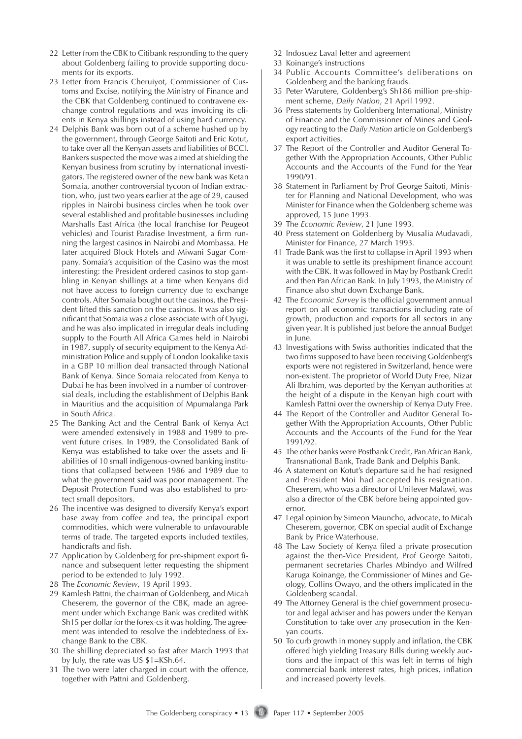- 22 Letter from the CBK to Citibank responding to the query about Goldenberg failing to provide supporting documents for its exports.
- 23 Letter from Francis Cheruiyot, Commissioner of Customs and Excise, notifying the Ministry of Finance and the CBK that Goldenberg continued to contravene exchange control regulations and was invoicing its clients in Kenya shillings instead of using hard currency.
- 24 Delphis Bank was born out of a scheme hushed up by the government, through George Saitoti and Eric Kotut, to take over all the Kenyan assets and liabilities of BCCI. Bankers suspected the move was aimed at shielding the Kenyan business from scrutiny by international investigators. The registered owner of the new bank was Ketan Somaia, another controversial tycoon of Indian extraction, who, just two years earlier at the age of 29, caused ripples in Nairobi business circles when he took over several established and profitable businesses including Marshalls East Africa (the local franchise for Peugeot vehicles) and Tourist Paradise Investment, a firm running the largest casinos in Nairobi and Mombassa. He later acquired Block Hotels and Miwani Sugar Company. Somaia's acquisition of the Casino was the most interesting: the President ordered casinos to stop gambling in Kenyan shillings at a time when Kenyans did not have access to foreign currency due to exchange controls. After Somaia bought out the casinos, the President lifted this sanction on the casinos. It was also significant that Somaia was a close associate with of Oyugi, and he was also implicated in irregular deals including supply to the Fourth All Africa Games held in Nairobi in 1987, supply of security equipment to the Kenya Administration Police and supply of London lookalike taxis in a GBP 10 million deal transacted through National Bank of Kenya. Since Somaia relocated from Kenya to Dubai he has been involved in a number of controversial deals, including the establishment of Delphis Bank in Mauritius and the acquisition of Mpumalanga Park in South Africa.
- 25 The Banking Act and the Central Bank of Kenya Act were amended extensively in 1988 and 1989 to prevent future crises. In 1989, the Consolidated Bank of Kenya was established to take over the assets and liabilities of 10 small indigenous-owned banking institutions that collapsed between 1986 and 1989 due to what the government said was poor management. The Deposit Protection Fund was also established to protect small depositors.
- 26 The incentive was designed to diversify Kenya's export base away from coffee and tea, the principal export commodities, which were vulnerable to unfavourable terms of trade. The targeted exports included textiles, handicrafts and fish.
- 27 Application by Goldenberg for pre-shipment export finance and subsequent letter requesting the shipment period to be extended to July 1992.
- 28 The *Economic Review*, 19 April 1993.
- 29 Kamlesh Pattni, the chairman of Goldenberg, and Micah Cheserem, the governor of the CBK, made an agreement under which Exchange Bank was credited withK Sh15 per dollar for the forex-cs it was holding. The agreement was intended to resolve the indebtedness of Exchange Bank to the CBK.
- 30 The shilling depreciated so fast after March 1993 that by July, the rate was US \$1=KSh.64.
- 31 The two were later charged in court with the offence, together with Pattni and Goldenberg.
- 32 Indosuez Laval letter and agreement
- 33 Koinange's instructions
- 34 Public Accounts Committee's deliberations on Goldenberg and the banking frauds.
- 35 Peter Warutere, Goldenberg's Sh186 million pre-shipment scheme, *Daily Nation*, 21 April 1992.
- 36 Press statements by Goldenberg International, Ministry of Finance and the Commissioner of Mines and Geology reacting to the *Daily Nation* article on Goldenberg's export activities.
- 37 The Report of the Controller and Auditor General Together With the Appropriation Accounts, Other Public Accounts and the Accounts of the Fund for the Year 1990/91.
- 38 Statement in Parliament by Prof George Saitoti, Minister for Planning and National Development, who was Minister for Finance when the Goldenberg scheme was approved, 15 June 1993.
- 39 The *Economic Review*, 21 June 1993.
- 40 Press statement on Goldenberg by Musalia Mudavadi, Minister for Finance, 27 March 1993.
- 41 Trade Bank was the first to collapse in April 1993 when it was unable to settle its preshipment finance account with the CBK. It was followed in May by Postbank Credit and then Pan African Bank. In July 1993, the Ministry of Finance also shut down Exchange Bank.
- 42 The *Economic Survey* is the official government annual report on all economic transactions including rate of growth, production and exports for all sectors in any given year. It is published just before the annual Budget in June.
- 43 Investigations with Swiss authorities indicated that the two firms supposed to have been receiving Goldenberg's exports were not registered in Switzerland, hence were non-existent. The proprietor of World Duty Free, Nizar Ali Ibrahim, was deported by the Kenyan authorities at the height of a dispute in the Kenyan high court with Kamlesh Pattni over the ownership of Kenya Duty Free.
- 44 The Report of the Controller and Auditor General Together With the Appropriation Accounts, Other Public Accounts and the Accounts of the Fund for the Year 1991/92.
- 45 The other banks were Postbank Credit, Pan African Bank, Transnational Bank, Trade Bank and Delphis Bank.
- 46 A statement on Kotut's departure said he had resigned and President Moi had accepted his resignation. Cheserem, who was a director of Unilever Malawi, was also a director of the CBK before being appointed governor.
- 47 Legal opinion by Simeon Mauncho, advocate, to Micah Cheserem, governor, CBK on special audit of Exchange Bank by Price Waterhouse.
- 48 The Law Society of Kenya filed a private prosecution against the then-Vice President, Prof George Saitoti, permanent secretaries Charles Mbindyo and Wilfred Karuga Koinange, the Commissioner of Mines and Geology, Collins Owayo, and the others implicated in the Goldenberg scandal.
- 49 The Attorney General is the chief government prosecutor and legal adviser and has powers under the Kenyan Constitution to take over any prosecution in the Kenyan courts.
- 50 To curb growth in money supply and inflation, the CBK offered high yielding Treasury Bills during weekly auctions and the impact of this was felt in terms of high commercial bank interest rates, high prices, inflation and increased poverty levels.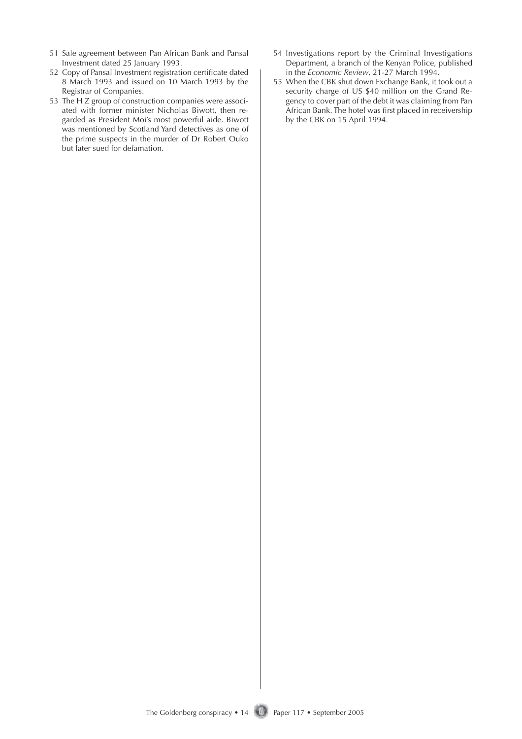- 51 Sale agreement between Pan African Bank and Pansal Investment dated 25 January 1993.
- 52 Copy of Pansal Investment registration certificate dated 8 March 1993 and issued on 10 March 1993 by the Registrar of Companies.
- 53 The H Z group of construction companies were associated with former minister Nicholas Biwott, then regarded as President Moi's most powerful aide. Biwott was mentioned by Scotland Yard detectives as one of the prime suspects in the murder of Dr Robert Ouko but later sued for defamation.
- 54 Investigations report by the Criminal Investigations Department, a branch of the Kenyan Police, published in the *Economic Review*, 21-27 March 1994.
- 55 When the CBK shut down Exchange Bank, it took out a security charge of US \$40 million on the Grand Regency to cover part of the debt it was claiming from Pan African Bank. The hotel was first placed in receivership by the CBK on 15 April 1994.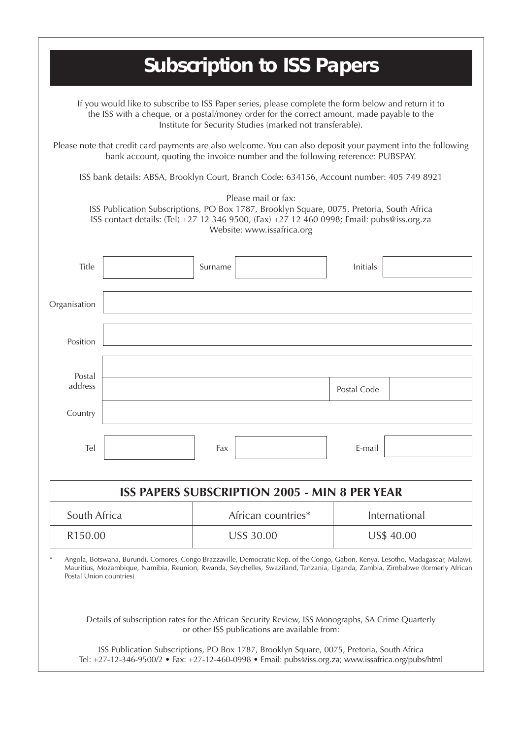|                                                                                                                                                                                                                                                                |                                                                                                                                                                                                                                                                 |                    |                                                   |               | <b>Subscription to ISS Papers</b> |  |
|----------------------------------------------------------------------------------------------------------------------------------------------------------------------------------------------------------------------------------------------------------------|-----------------------------------------------------------------------------------------------------------------------------------------------------------------------------------------------------------------------------------------------------------------|--------------------|---------------------------------------------------|---------------|-----------------------------------|--|
| If you would like to subscribe to ISS Paper series, please complete the form below and return it to<br>the ISS with a cheque, or a postal/money order for the correct amount, made payable to the<br>Institute for Security Studies (marked not transferable). |                                                                                                                                                                                                                                                                 |                    |                                                   |               |                                   |  |
|                                                                                                                                                                                                                                                                | Please note that credit card payments are also welcome. You can also deposit your payment into the following<br>bank account, quoting the invoice number and the following reference: PUBSPAY.                                                                  |                    |                                                   |               |                                   |  |
|                                                                                                                                                                                                                                                                | ISS bank details: ABSA, Brooklyn Court, Branch Code: 634156, Account number: 405 749 8921                                                                                                                                                                       |                    |                                                   |               |                                   |  |
|                                                                                                                                                                                                                                                                | ISS Publication Subscriptions, PO Box 1787, Brooklyn Square, 0075, Pretoria, South Africa<br>ISS contact details: (Tel) +27 12 346 9500, (Fax) +27 12 460 0998; Email: pubs@iss.org.za                                                                          |                    | Please mail or fax:<br>Website: www.issafrica.org |               |                                   |  |
| Title                                                                                                                                                                                                                                                          |                                                                                                                                                                                                                                                                 | Surname            |                                                   |               | <b>Initials</b>                   |  |
| Organisation                                                                                                                                                                                                                                                   |                                                                                                                                                                                                                                                                 |                    |                                                   |               |                                   |  |
| Position                                                                                                                                                                                                                                                       |                                                                                                                                                                                                                                                                 |                    |                                                   |               |                                   |  |
| Postal<br>address                                                                                                                                                                                                                                              |                                                                                                                                                                                                                                                                 |                    |                                                   |               | Postal Code                       |  |
| Country                                                                                                                                                                                                                                                        |                                                                                                                                                                                                                                                                 |                    |                                                   |               |                                   |  |
| Tel                                                                                                                                                                                                                                                            |                                                                                                                                                                                                                                                                 | Fax                |                                                   |               | E-mail                            |  |
| <b>ISS PAPERS SUBSCRIPTION 2005 - MIN 8 PER YEAR</b>                                                                                                                                                                                                           |                                                                                                                                                                                                                                                                 |                    |                                                   |               |                                   |  |
| South Africa                                                                                                                                                                                                                                                   |                                                                                                                                                                                                                                                                 | African countries* |                                                   | International |                                   |  |
| R150.00                                                                                                                                                                                                                                                        |                                                                                                                                                                                                                                                                 | US\$ 30.00         |                                                   | US\$ 40.00    |                                   |  |
| Postal Union countries)                                                                                                                                                                                                                                        | Angola, Botswana, Burundi, Comores, Congo Brazzaville, Democratic Rep. of the Congo, Gabon, Kenya, Lesotho, Madagascar, Malawi,<br>Mauritius, Mozambique, Namibia, Reunion, Rwanda, Seychelles, Swaziland, Tanzania, Uganda, Zambia, Zimbabwe (formerly African |                    |                                                   |               |                                   |  |
| Details of subscription rates for the African Security Review, ISS Monographs, SA Crime Quarterly<br>or other ISS publications are available from:<br>ISS Publication Subscriptions, PO Box 1787, Brooklyn Square, 0075, Pretoria, South Africa                |                                                                                                                                                                                                                                                                 |                    |                                                   |               |                                   |  |

Tel: +27-12-346-9500/2 • Fax: +27-12-460-0998 • Email: pubs@iss.org.za; www.issafrica.org/pubs/html